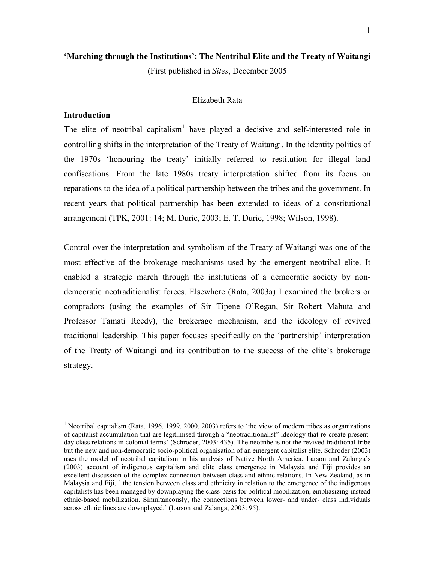## **'Marching through the Institutions': The Neotribal Elite and the Treaty of Waitangi**

(First published in *Sites*, December 2005

### Elizabeth Rata

## **Introduction**

 $\overline{a}$ 

The elite of neotribal capitalism<sup>1</sup> have played a decisive and self-interested role in controlling shifts in the interpretation of the Treaty of Waitangi. In the identity politics of the 1970s 'honouring the treaty' initially referred to restitution for illegal land confiscations. From the late 1980s treaty interpretation shifted from its focus on reparations to the idea of a political partnership between the tribes and the government. In recent years that political partnership has been extended to ideas of a constitutional arrangement (TPK, 2001: 14; M. Durie, 2003; E. T. Durie, 1998; Wilson, 1998).

Control over the interpretation and symbolism of the Treaty of Waitangi was one of the most effective of the brokerage mechanisms used by the emergent neotribal elite. It enabled a strategic march through the institutions of a democratic society by nondemocratic neotraditionalist forces. Elsewhere (Rata, 2003a) I examined the brokers or compradors (using the examples of Sir Tipene O'Regan, Sir Robert Mahuta and Professor Tamati Reedy), the brokerage mechanism, and the ideology of revived traditional leadership. This paper focuses specifically on the 'partnership' interpretation of the Treaty of Waitangi and its contribution to the success of the elite's brokerage strategy.

<sup>&</sup>lt;sup>1</sup> Neotribal capitalism (Rata, 1996, 1999, 2000, 2003) refers to 'the view of modern tribes as organizations of capitalist accumulation that are legitimised through a "neotraditionalist" ideology that re-create presentday class relations in colonial terms' (Schroder, 2003: 435). The neotribe is not the revived traditional tribe but the new and non-democratic socio-political organisation of an emergent capitalist elite. Schroder (2003) uses the model of neotribal capitalism in his analysis of Native North America. Larson and Zalanga's (2003) account of indigenous capitalism and elite class emergence in Malaysia and Fiji provides an excellent discussion of the complex connection between class and ethnic relations. In New Zealand, as in Malaysia and Fiji, ' the tension between class and ethnicity in relation to the emergence of the indigenous capitalists has been managed by downplaying the class-basis for political mobilization, emphasizing instead ethnic-based mobilization. Simultaneously, the connections between lower- and under- class individuals across ethnic lines are downplayed.' (Larson and Zalanga, 2003: 95).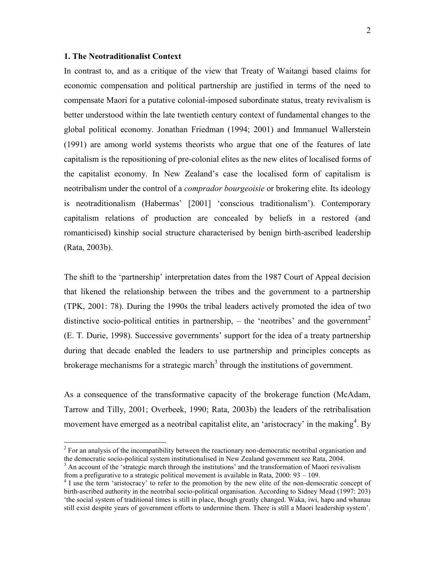## **1. The Neotraditionalist Context**

 $\overline{a}$ 

In contrast to, and as a critique of the view that Treaty of Waitangi based claims for economic compensation and political partnership are justified in terms of the need to compensate Maori for a putative colonial-imposed subordinate status, treaty revivalism is better understood within the late twentieth century context of fundamental changes to the global political economy. Jonathan Friedman (1994; 2001) and Immanuel Wallerstein (1991) are among world systems theorists who argue that one of the features of late capitalism is the repositioning of pre-colonial elites as the new elites of localised forms of the capitalist economy. In New Zealand's case the localised form of capitalism is neotribalism under the control of a *comprador bourgeoisie* or brokering elite. Its ideology is neotraditionalism (Habermas' [2001] 'conscious traditionalism'). Contemporary capitalism relations of production are concealed by beliefs in a restored (and romanticised) kinship social structure characterised by benign birth-ascribed leadership (Rata, 2003b).

The shift to the 'partnership' interpretation dates from the 1987 Court of Appeal decision that likened the relationship between the tribes and the government to a partnership (TPK, 2001: 78). During the 1990s the tribal leaders actively promoted the idea of two distinctive socio-political entities in partnership,  $-$  the 'neotribes' and the government<sup>2</sup> (E. T. Durie, 1998). Successive governments' support for the idea of a treaty partnership during that decade enabled the leaders to use partnership and principles concepts as brokerage mechanisms for a strategic march<sup>3</sup> through the institutions of government.

As a consequence of the transformative capacity of the brokerage function (McAdam, Tarrow and Tilly, 2001; Overbeek, 1990; Rata, 2003b) the leaders of the retribalisation movement have emerged as a neotribal capitalist elite, an 'aristocracy' in the making<sup>4</sup>. By

 $2^{2}$  For an analysis of the incompatibility between the reactionary non-democratic neotribal organisation and the democratic socio-political system institutionalised in New Zealand government see Rata, 2004.

 $3$  An account of the 'strategic march through the institutions' and the transformation of Maori revivalism from a prefigurative to a strategic political movement is available in Rata, 2000: 93 – 109.

<sup>&</sup>lt;sup>4</sup> I use the term 'aristocracy' to refer to the promotion by the new elite of the non-democratic concept of birth-ascribed authority in the neotribal socio-political organisation. According to Sidney Mead (1997: 203) 'the social system of traditional times is still in place, though greatly changed. Waka, iwi, hapu and whanau still exist despite years of government efforts to undermine them. There is still a Maori leadership system'.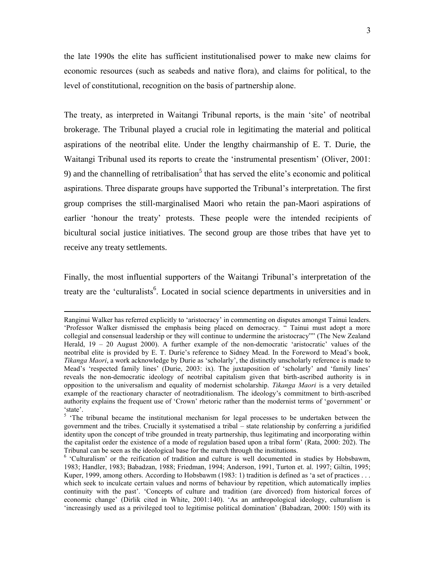the late 1990s the elite has sufficient institutionalised power to make new claims for economic resources (such as seabeds and native flora), and claims for political, to the level of constitutional, recognition on the basis of partnership alone.

The treaty, as interpreted in Waitangi Tribunal reports, is the main 'site' of neotribal brokerage. The Tribunal played a crucial role in legitimating the material and political aspirations of the neotribal elite. Under the lengthy chairmanship of E. T. Durie, the Waitangi Tribunal used its reports to create the 'instrumental presentism' (Oliver, 2001: 9) and the channelling of retribalisation<sup>5</sup> that has served the elite's economic and political aspirations. Three disparate groups have supported the Tribunal's interpretation. The first group comprises the still-marginalised Maori who retain the pan-Maori aspirations of earlier 'honour the treaty' protests. These people were the intended recipients of bicultural social justice initiatives. The second group are those tribes that have yet to receive any treaty settlements.

Finally, the most influential supporters of the Waitangi Tribunal's interpretation of the treaty are the 'culturalists<sup>6</sup>. Located in social science departments in universities and in

 $\overline{a}$ 

Ranginui Walker has referred explicitly to 'aristocracy' in commenting on disputes amongst Tainui leaders. 'Professor Walker dismissed the emphasis being placed on democracy. " Tainui must adopt a more collegial and consensual leadership or they will continue to undermine the aristocracy"" (The New Zealand Herald,  $19 - 20$  August 2000). A further example of the non-democratic 'aristocratic' values of the neotribal elite is provided by E. T. Durie's reference to Sidney Mead. In the Foreword to Mead's book, *Tikanga Maori*, a work acknowledge by Durie as 'scholarly', the distinctly unscholarly reference is made to Mead's 'respected family lines' (Durie, 2003: ix). The juxtaposition of 'scholarly' and 'family lines' reveals the non-democratic ideology of neotribal capitalism given that birth-ascribed authority is in opposition to the universalism and equality of modernist scholarship. *Tikanga Maori* is a very detailed example of the reactionary character of neotraditionalism. The ideology's commitment to birth-ascribed authority explains the frequent use of 'Crown' rhetoric rather than the modernist terms of 'government' or 'state'.

<sup>&</sup>lt;sup>5</sup> 'The tribunal became the institutional mechanism for legal processes to be undertaken between the government and the tribes. Crucially it systematised a tribal – state relationship by conferring a juridified identity upon the concept of tribe grounded in treaty partnership, thus legitimating and incorporating within the capitalist order the existence of a mode of regulation based upon a tribal form' (Rata, 2000: 202). The Tribunal can be seen as the ideological base for the march through the institutions.

<sup>&</sup>lt;sup>6</sup> 'Culturalism' or the reification of tradition and culture is well documented in studies by Hobsbawm, 1983; Handler, 1983; Babadzan, 1988; Friedman, 1994; Anderson, 1991, Turton et. al. 1997; Giltin, 1995; Kuper, 1999, among others. According to Hobsbawm (1983: 1) tradition is defined as 'a set of practices . . . which seek to inculcate certain values and norms of behaviour by repetition, which automatically implies continuity with the past'. 'Concepts of culture and tradition (are divorced) from historical forces of economic change' (Dirlik cited in White, 2001:140). 'As an anthropological ideology, culturalism is 'increasingly used as a privileged tool to legitimise political domination' (Babadzan, 2000: 150) with its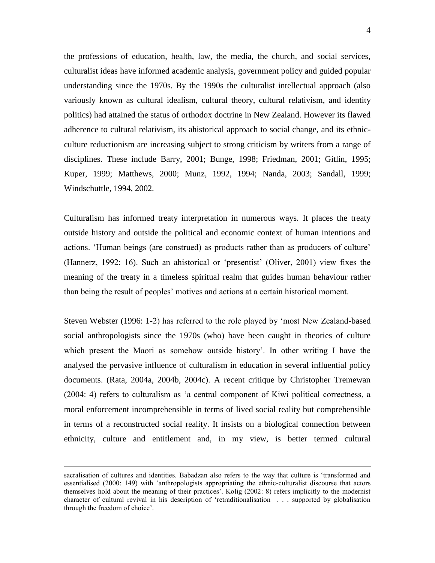the professions of education, health, law, the media, the church, and social services, culturalist ideas have informed academic analysis, government policy and guided popular understanding since the 1970s. By the 1990s the culturalist intellectual approach (also variously known as cultural idealism, cultural theory, cultural relativism, and identity politics) had attained the status of orthodox doctrine in New Zealand. However its flawed adherence to cultural relativism, its ahistorical approach to social change, and its ethnicculture reductionism are increasing subject to strong criticism by writers from a range of disciplines. These include Barry, 2001; Bunge, 1998; Friedman, 2001; Gitlin, 1995; Kuper, 1999; Matthews, 2000; Munz, 1992, 1994; Nanda, 2003; Sandall, 1999; Windschuttle, 1994, 2002.

Culturalism has informed treaty interpretation in numerous ways. It places the treaty outside history and outside the political and economic context of human intentions and actions. 'Human beings (are construed) as products rather than as producers of culture' (Hannerz, 1992: 16). Such an ahistorical or 'presentist' (Oliver, 2001) view fixes the meaning of the treaty in a timeless spiritual realm that guides human behaviour rather than being the result of peoples' motives and actions at a certain historical moment.

Steven Webster (1996: 1-2) has referred to the role played by 'most New Zealand-based social anthropologists since the 1970s (who) have been caught in theories of culture which present the Maori as somehow outside history'. In other writing I have the analysed the pervasive influence of culturalism in education in several influential policy documents. (Rata, 2004a, 2004b, 2004c). A recent critique by Christopher Tremewan (2004: 4) refers to culturalism as 'a central component of Kiwi political correctness, a moral enforcement incomprehensible in terms of lived social reality but comprehensible in terms of a reconstructed social reality. It insists on a biological connection between ethnicity, culture and entitlement and, in my view, is better termed cultural

 $\overline{a}$ 

sacralisation of cultures and identities. Babadzan also refers to the way that culture is 'transformed and essentialised (2000: 149) with 'anthropologists appropriating the ethnic-culturalist discourse that actors themselves hold about the meaning of their practices'. Kolig (2002: 8) refers implicitly to the modernist character of cultural revival in his description of 'retraditionalisation . . . supported by globalisation through the freedom of choice'.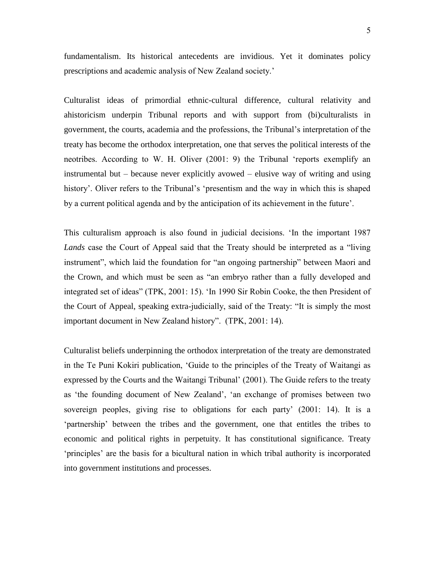fundamentalism. Its historical antecedents are invidious. Yet it dominates policy prescriptions and academic analysis of New Zealand society.'

Culturalist ideas of primordial ethnic-cultural difference, cultural relativity and ahistoricism underpin Tribunal reports and with support from (bi)culturalists in government, the courts, academia and the professions, the Tribunal's interpretation of the treaty has become the orthodox interpretation, one that serves the political interests of the neotribes. According to W. H. Oliver (2001: 9) the Tribunal 'reports exemplify an instrumental but – because never explicitly avowed – elusive way of writing and using history'. Oliver refers to the Tribunal's 'presentism and the way in which this is shaped by a current political agenda and by the anticipation of its achievement in the future'.

This culturalism approach is also found in judicial decisions. 'In the important 1987 *Lands* case the Court of Appeal said that the Treaty should be interpreted as a "living instrument", which laid the foundation for "an ongoing partnership" between Maori and the Crown, and which must be seen as "an embryo rather than a fully developed and integrated set of ideas" (TPK, 2001: 15). 'In 1990 Sir Robin Cooke, the then President of the Court of Appeal, speaking extra-judicially, said of the Treaty: "It is simply the most important document in New Zealand history". (TPK, 2001: 14).

Culturalist beliefs underpinning the orthodox interpretation of the treaty are demonstrated in the Te Puni Kokiri publication, 'Guide to the principles of the Treaty of Waitangi as expressed by the Courts and the Waitangi Tribunal' (2001). The Guide refers to the treaty as 'the founding document of New Zealand', 'an exchange of promises between two sovereign peoples, giving rise to obligations for each party' (2001: 14). It is a 'partnership' between the tribes and the government, one that entitles the tribes to economic and political rights in perpetuity. It has constitutional significance. Treaty 'principles' are the basis for a bicultural nation in which tribal authority is incorporated into government institutions and processes.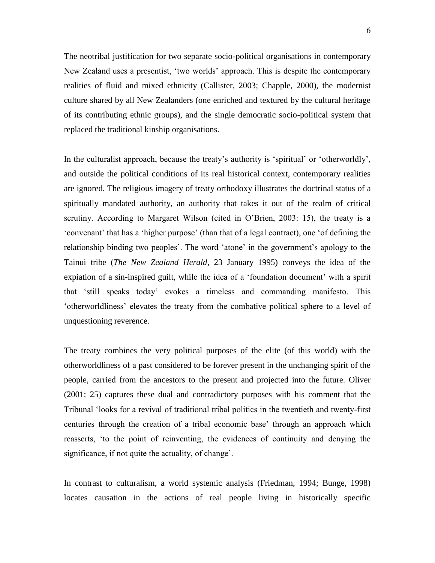The neotribal justification for two separate socio-political organisations in contemporary New Zealand uses a presentist, 'two worlds' approach. This is despite the contemporary realities of fluid and mixed ethnicity (Callister, 2003; Chapple, 2000), the modernist culture shared by all New Zealanders (one enriched and textured by the cultural heritage of its contributing ethnic groups), and the single democratic socio-political system that replaced the traditional kinship organisations.

In the culturalist approach, because the treaty's authority is 'spiritual' or 'otherworldly', and outside the political conditions of its real historical context, contemporary realities are ignored. The religious imagery of treaty orthodoxy illustrates the doctrinal status of a spiritually mandated authority, an authority that takes it out of the realm of critical scrutiny. According to Margaret Wilson (cited in O'Brien, 2003: 15), the treaty is a 'convenant' that has a 'higher purpose' (than that of a legal contract), one 'of defining the relationship binding two peoples'. The word 'atone' in the government's apology to the Tainui tribe (*The New Zealand Herald*, 23 January 1995) conveys the idea of the expiation of a sin-inspired guilt, while the idea of a 'foundation document' with a spirit that 'still speaks today' evokes a timeless and commanding manifesto. This 'otherworldliness' elevates the treaty from the combative political sphere to a level of unquestioning reverence.

The treaty combines the very political purposes of the elite (of this world) with the otherworldliness of a past considered to be forever present in the unchanging spirit of the people, carried from the ancestors to the present and projected into the future. Oliver (2001: 25) captures these dual and contradictory purposes with his comment that the Tribunal 'looks for a revival of traditional tribal politics in the twentieth and twenty-first centuries through the creation of a tribal economic base' through an approach which reasserts, 'to the point of reinventing, the evidences of continuity and denying the significance, if not quite the actuality, of change'.

In contrast to culturalism, a world systemic analysis (Friedman, 1994; Bunge, 1998) locates causation in the actions of real people living in historically specific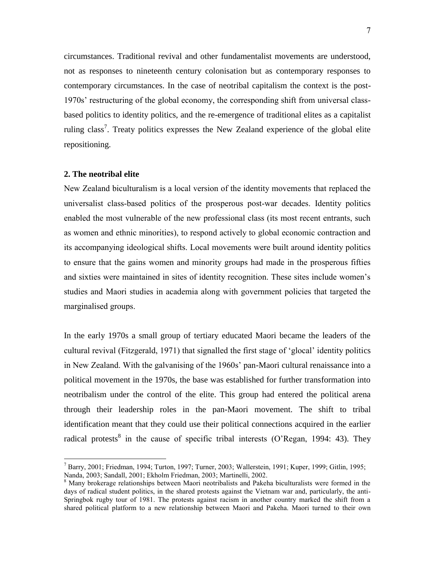circumstances. Traditional revival and other fundamentalist movements are understood, not as responses to nineteenth century colonisation but as contemporary responses to contemporary circumstances. In the case of neotribal capitalism the context is the post-1970s' restructuring of the global economy, the corresponding shift from universal classbased politics to identity politics, and the re-emergence of traditional elites as a capitalist ruling class<sup>7</sup>. Treaty politics expresses the New Zealand experience of the global elite repositioning.

### **2. The neotribal elite**

 $\overline{a}$ 

New Zealand biculturalism is a local version of the identity movements that replaced the universalist class-based politics of the prosperous post-war decades. Identity politics enabled the most vulnerable of the new professional class (its most recent entrants, such as women and ethnic minorities), to respond actively to global economic contraction and its accompanying ideological shifts. Local movements were built around identity politics to ensure that the gains women and minority groups had made in the prosperous fifties and sixties were maintained in sites of identity recognition. These sites include women's studies and Maori studies in academia along with government policies that targeted the marginalised groups.

In the early 1970s a small group of tertiary educated Maori became the leaders of the cultural revival (Fitzgerald, 1971) that signalled the first stage of 'glocal' identity politics in New Zealand. With the galvanising of the 1960s' pan-Maori cultural renaissance into a political movement in the 1970s, the base was established for further transformation into neotribalism under the control of the elite. This group had entered the political arena through their leadership roles in the pan-Maori movement. The shift to tribal identification meant that they could use their political connections acquired in the earlier radical protests<sup>8</sup> in the cause of specific tribal interests (O'Regan, 1994: 43). They

 $^7$  Barry, 2001; Friedman, 1994; Turton, 1997; Turner, 2003; Wallerstein, 1991; Kuper, 1999; Gitlin, 1995; Nanda, 2003; Sandall, 2001; Ekholm Friedman, 2003; Martinelli, 2002.

<sup>8</sup> Many brokerage relationships between Maori neotribalists and Pakeha biculturalists were formed in the days of radical student politics, in the shared protests against the Vietnam war and, particularly, the anti-Springbok rugby tour of 1981. The protests against racism in another country marked the shift from a shared political platform to a new relationship between Maori and Pakeha. Maori turned to their own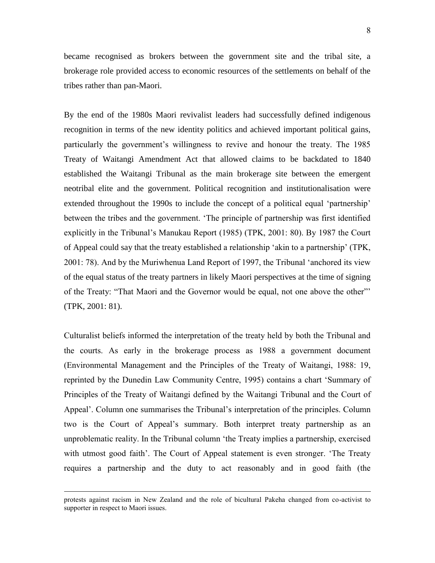became recognised as brokers between the government site and the tribal site, a brokerage role provided access to economic resources of the settlements on behalf of the tribes rather than pan-Maori.

By the end of the 1980s Maori revivalist leaders had successfully defined indigenous recognition in terms of the new identity politics and achieved important political gains, particularly the government's willingness to revive and honour the treaty. The 1985 Treaty of Waitangi Amendment Act that allowed claims to be backdated to 1840 established the Waitangi Tribunal as the main brokerage site between the emergent neotribal elite and the government. Political recognition and institutionalisation were extended throughout the 1990s to include the concept of a political equal 'partnership' between the tribes and the government. 'The principle of partnership was first identified explicitly in the Tribunal's Manukau Report (1985) (TPK, 2001: 80). By 1987 the Court of Appeal could say that the treaty established a relationship 'akin to a partnership' (TPK, 2001: 78). And by the Muriwhenua Land Report of 1997, the Tribunal 'anchored its view of the equal status of the treaty partners in likely Maori perspectives at the time of signing of the Treaty: "That Maori and the Governor would be equal, not one above the other"' (TPK, 2001: 81).

Culturalist beliefs informed the interpretation of the treaty held by both the Tribunal and the courts. As early in the brokerage process as 1988 a government document (Environmental Management and the Principles of the Treaty of Waitangi, 1988: 19, reprinted by the Dunedin Law Community Centre, 1995) contains a chart 'Summary of Principles of the Treaty of Waitangi defined by the Waitangi Tribunal and the Court of Appeal'. Column one summarises the Tribunal's interpretation of the principles. Column two is the Court of Appeal's summary. Both interpret treaty partnership as an unproblematic reality. In the Tribunal column 'the Treaty implies a partnership, exercised with utmost good faith'. The Court of Appeal statement is even stronger. 'The Treaty requires a partnership and the duty to act reasonably and in good faith (the

 $\overline{a}$ 

protests against racism in New Zealand and the role of bicultural Pakeha changed from co-activist to supporter in respect to Maori issues.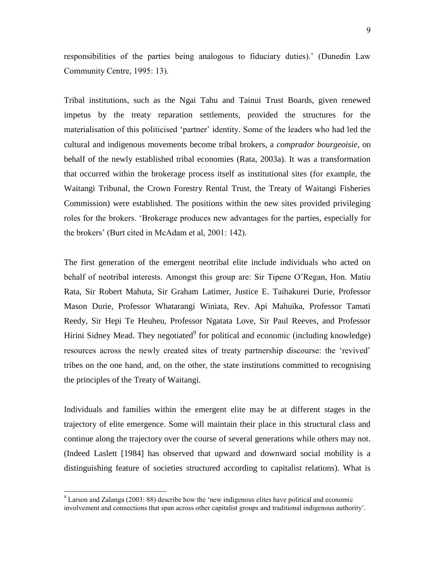responsibilities of the parties being analogous to fiduciary duties).' (Dunedin Law Community Centre, 1995: 13).

Tribal institutions, such as the Ngai Tahu and Tainui Trust Boards, given renewed impetus by the treaty reparation settlements, provided the structures for the materialisation of this politicised 'partner' identity. Some of the leaders who had led the cultural and indigenous movements become tribal brokers, a *comprador bourgeoisie*, on behalf of the newly established tribal economies (Rata, 2003a). It was a transformation that occurred within the brokerage process itself as institutional sites (for example, the Waitangi Tribunal, the Crown Forestry Rental Trust, the Treaty of Waitangi Fisheries Commission) were established. The positions within the new sites provided privileging roles for the brokers. 'Brokerage produces new advantages for the parties, especially for the brokers' (Burt cited in McAdam et al, 2001: 142).

The first generation of the emergent neotribal elite include individuals who acted on behalf of neotribal interests. Amongst this group are: Sir Tipene O'Regan, Hon. Matiu Rata, Sir Robert Mahuta, Sir Graham Latimer, Justice E. Taihakurei Durie, Professor Mason Durie, Professor Whatarangi Winiata, Rev. Api Mahuika, Professor Tamati Reedy, Sir Hepi Te Heuheu, Professor Ngatata Love, Sir Paul Reeves, and Professor Hirini Sidney Mead. They negotiated<sup>9</sup> for political and economic (including knowledge) resources across the newly created sites of treaty partnership discourse: the 'revived' tribes on the one hand, and, on the other, the state institutions committed to recognising the principles of the Treaty of Waitangi.

Individuals and families within the emergent elite may be at different stages in the trajectory of elite emergence. Some will maintain their place in this structural class and continue along the trajectory over the course of several generations while others may not. (Indeed Laslett [1984] has observed that upward and downward social mobility is a distinguishing feature of societies structured according to capitalist relations). What is

 $\overline{a}$ 

<sup>9</sup> Larson and Zalanga (2003: 88) describe how the 'new indigenous elites have political and economic involvement and connections that span across other capitalist groups and traditional indigenous authority'.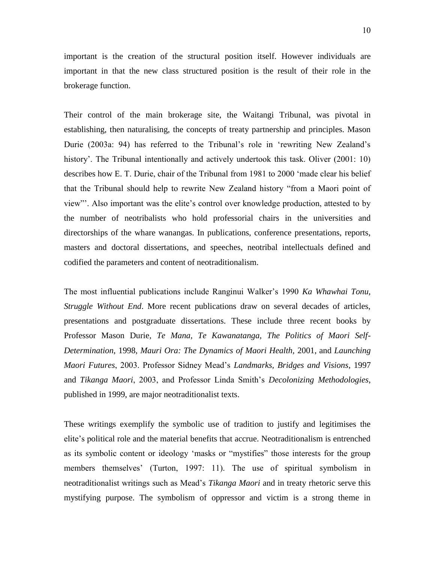important is the creation of the structural position itself. However individuals are important in that the new class structured position is the result of their role in the brokerage function.

Their control of the main brokerage site, the Waitangi Tribunal, was pivotal in establishing, then naturalising, the concepts of treaty partnership and principles. Mason Durie (2003a: 94) has referred to the Tribunal's role in 'rewriting New Zealand's history'. The Tribunal intentionally and actively undertook this task. Oliver (2001: 10) describes how E. T. Durie, chair of the Tribunal from 1981 to 2000 'made clear his belief that the Tribunal should help to rewrite New Zealand history "from a Maori point of view"'. Also important was the elite's control over knowledge production, attested to by the number of neotribalists who hold professorial chairs in the universities and directorships of the whare wanangas. In publications, conference presentations, reports, masters and doctoral dissertations, and speeches, neotribal intellectuals defined and codified the parameters and content of neotraditionalism.

The most influential publications include Ranginui Walker's 1990 *Ka Whawhai Tonu, Struggle Without End*. More recent publications draw on several decades of articles, presentations and postgraduate dissertations. These include three recent books by Professor Mason Durie, *Te Mana, Te Kawanatanga, The Politics of Maori Self-Determination*, 1998, *Mauri Ora: The Dynamics of Maori Health,* 2001, and *Launching Maori Futures*, 2003. Professor Sidney Mead's *Landmarks, Bridges and Visions*, 1997 and *Tikanga Maori*, 2003, and Professor Linda Smith's *Decolonizing Methodologies*, published in 1999, are major neotraditionalist texts.

These writings exemplify the symbolic use of tradition to justify and legitimises the elite's political role and the material benefits that accrue. Neotraditionalism is entrenched as its symbolic content or ideology 'masks or "mystifies" those interests for the group members themselves' (Turton, 1997: 11). The use of spiritual symbolism in neotraditionalist writings such as Mead's *Tikanga Maori* and in treaty rhetoric serve this mystifying purpose. The symbolism of oppressor and victim is a strong theme in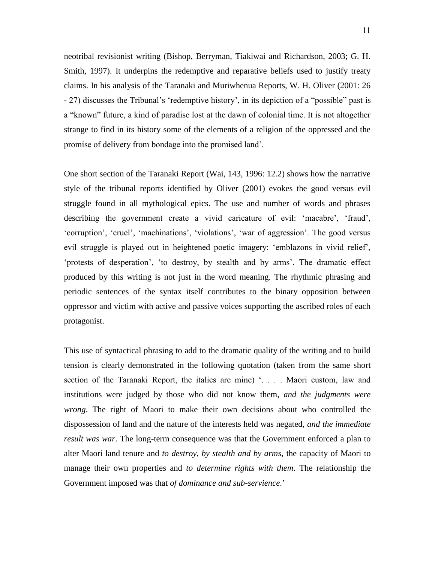neotribal revisionist writing (Bishop, Berryman, Tiakiwai and Richardson, 2003; G. H. Smith, 1997). It underpins the redemptive and reparative beliefs used to justify treaty claims. In his analysis of the Taranaki and Muriwhenua Reports, W. H. Oliver (2001: 26 - 27) discusses the Tribunal's 'redemptive history', in its depiction of a "possible" past is a "known" future, a kind of paradise lost at the dawn of colonial time. It is not altogether strange to find in its history some of the elements of a religion of the oppressed and the promise of delivery from bondage into the promised land'.

One short section of the Taranaki Report (Wai, 143, 1996: 12.2) shows how the narrative style of the tribunal reports identified by Oliver (2001) evokes the good versus evil struggle found in all mythological epics. The use and number of words and phrases describing the government create a vivid caricature of evil: 'macabre', 'fraud', 'corruption', 'cruel', 'machinations', 'violations', 'war of aggression'. The good versus evil struggle is played out in heightened poetic imagery: 'emblazons in vivid relief', 'protests of desperation', 'to destroy, by stealth and by arms'. The dramatic effect produced by this writing is not just in the word meaning. The rhythmic phrasing and periodic sentences of the syntax itself contributes to the binary opposition between oppressor and victim with active and passive voices supporting the ascribed roles of each protagonist.

This use of syntactical phrasing to add to the dramatic quality of the writing and to build tension is clearly demonstrated in the following quotation (taken from the same short section of the Taranaki Report, the italics are mine) '... Maori custom, law and institutions were judged by those who did not know them, *and the judgments were wrong*. The right of Maori to make their own decisions about who controlled the dispossession of land and the nature of the interests held was negated, *and the immediate result was war*. The long-term consequence was that the Government enforced a plan to alter Maori land tenure and *to destroy, by stealth and by arms*, the capacity of Maori to manage their own properties and *to determine rights with them*. The relationship the Government imposed was that *of dominance and sub-servience*.'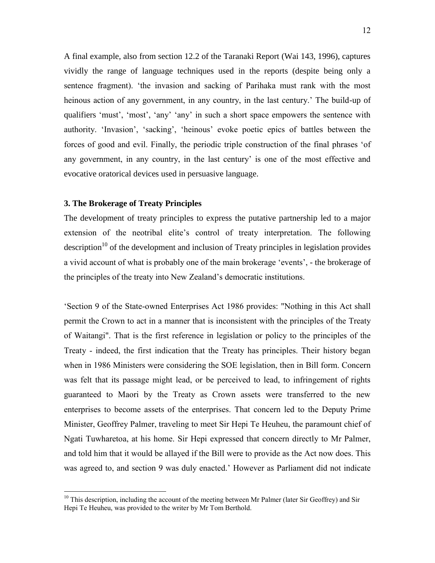A final example, also from section 12.2 of the Taranaki Report (Wai 143, 1996), captures vividly the range of language techniques used in the reports (despite being only a sentence fragment). 'the invasion and sacking of Parihaka must rank with the most heinous action of any government, in any country, in the last century.' The build-up of qualifiers 'must', 'most', 'any' 'any' in such a short space empowers the sentence with authority. 'Invasion', 'sacking', 'heinous' evoke poetic epics of battles between the forces of good and evil. Finally, the periodic triple construction of the final phrases 'of any government, in any country, in the last century' is one of the most effective and evocative oratorical devices used in persuasive language.

# **3. The Brokerage of Treaty Principles**

 $\overline{a}$ 

The development of treaty principles to express the putative partnership led to a major extension of the neotribal elite's control of treaty interpretation. The following description<sup>10</sup> of the development and inclusion of Treaty principles in legislation provides a vivid account of what is probably one of the main brokerage 'events', - the brokerage of the principles of the treaty into New Zealand's democratic institutions.

'Section 9 of the State-owned Enterprises Act 1986 provides: "Nothing in this Act shall permit the Crown to act in a manner that is inconsistent with the principles of the Treaty of Waitangi". That is the first reference in legislation or policy to the principles of the Treaty - indeed, the first indication that the Treaty has principles. Their history began when in 1986 Ministers were considering the SOE legislation, then in Bill form. Concern was felt that its passage might lead, or be perceived to lead, to infringement of rights guaranteed to Maori by the Treaty as Crown assets were transferred to the new enterprises to become assets of the enterprises. That concern led to the Deputy Prime Minister, Geoffrey Palmer, traveling to meet Sir Hepi Te Heuheu, the paramount chief of Ngati Tuwharetoa, at his home. Sir Hepi expressed that concern directly to Mr Palmer, and told him that it would be allayed if the Bill were to provide as the Act now does. This was agreed to, and section 9 was duly enacted.' However as Parliament did not indicate

 $10$  This description, including the account of the meeting between Mr Palmer (later Sir Geoffrey) and Sir Hepi Te Heuheu, was provided to the writer by Mr Tom Berthold.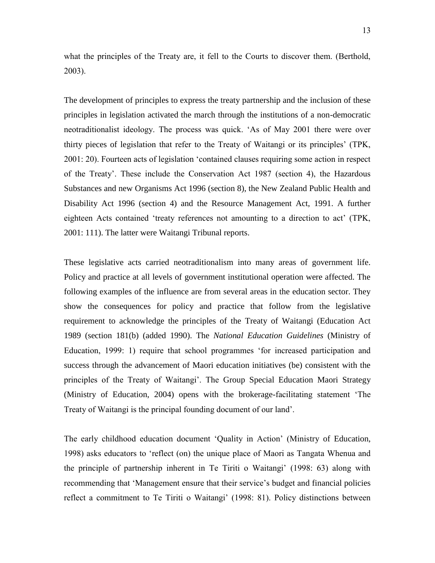what the principles of the Treaty are, it fell to the Courts to discover them. (Berthold, 2003).

The development of principles to express the treaty partnership and the inclusion of these principles in legislation activated the march through the institutions of a non-democratic neotraditionalist ideology. The process was quick. 'As of May 2001 there were over thirty pieces of legislation that refer to the Treaty of Waitangi or its principles' (TPK, 2001: 20). Fourteen acts of legislation 'contained clauses requiring some action in respect of the Treaty'. These include the Conservation Act 1987 (section 4), the Hazardous Substances and new Organisms Act 1996 (section 8), the New Zealand Public Health and Disability Act 1996 (section 4) and the Resource Management Act, 1991. A further eighteen Acts contained 'treaty references not amounting to a direction to act' (TPK, 2001: 111). The latter were Waitangi Tribunal reports.

These legislative acts carried neotraditionalism into many areas of government life. Policy and practice at all levels of government institutional operation were affected. The following examples of the influence are from several areas in the education sector. They show the consequences for policy and practice that follow from the legislative requirement to acknowledge the principles of the Treaty of Waitangi (Education Act 1989 (section 181(b) (added 1990). The *National Education Guidelines* (Ministry of Education, 1999: 1) require that school programmes 'for increased participation and success through the advancement of Maori education initiatives (be) consistent with the principles of the Treaty of Waitangi'. The Group Special Education Maori Strategy (Ministry of Education, 2004) opens with the brokerage-facilitating statement 'The Treaty of Waitangi is the principal founding document of our land'.

The early childhood education document 'Quality in Action' (Ministry of Education, 1998) asks educators to 'reflect (on) the unique place of Maori as Tangata Whenua and the principle of partnership inherent in Te Tiriti o Waitangi' (1998: 63) along with recommending that 'Management ensure that their service's budget and financial policies reflect a commitment to Te Tiriti o Waitangi' (1998: 81). Policy distinctions between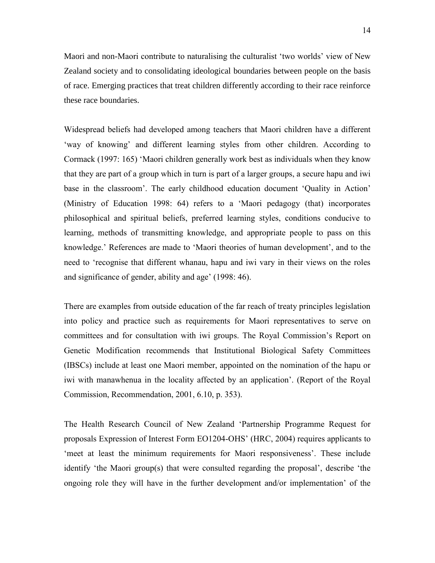Maori and non-Maori contribute to naturalising the culturalist 'two worlds' view of New Zealand society and to consolidating ideological boundaries between people on the basis of race. Emerging practices that treat children differently according to their race reinforce these race boundaries.

Widespread beliefs had developed among teachers that Maori children have a different 'way of knowing' and different learning styles from other children. According to Cormack (1997: 165) 'Maori children generally work best as individuals when they know that they are part of a group which in turn is part of a larger groups, a secure hapu and iwi base in the classroom'. The early childhood education document 'Quality in Action' (Ministry of Education 1998: 64) refers to a 'Maori pedagogy (that) incorporates philosophical and spiritual beliefs, preferred learning styles, conditions conducive to learning, methods of transmitting knowledge, and appropriate people to pass on this knowledge.' References are made to 'Maori theories of human development', and to the need to 'recognise that different whanau, hapu and iwi vary in their views on the roles and significance of gender, ability and age' (1998: 46).

There are examples from outside education of the far reach of treaty principles legislation into policy and practice such as requirements for Maori representatives to serve on committees and for consultation with iwi groups. The Royal Commission's Report on Genetic Modification recommends that Institutional Biological Safety Committees (IBSCs) include at least one Maori member, appointed on the nomination of the hapu or iwi with manawhenua in the locality affected by an application'. (Report of the Royal Commission, Recommendation, 2001, 6.10, p. 353).

The Health Research Council of New Zealand 'Partnership Programme Request for proposals Expression of Interest Form EO1204-OHS' (HRC, 2004) requires applicants to 'meet at least the minimum requirements for Maori responsiveness'. These include identify 'the Maori group(s) that were consulted regarding the proposal', describe 'the ongoing role they will have in the further development and/or implementation' of the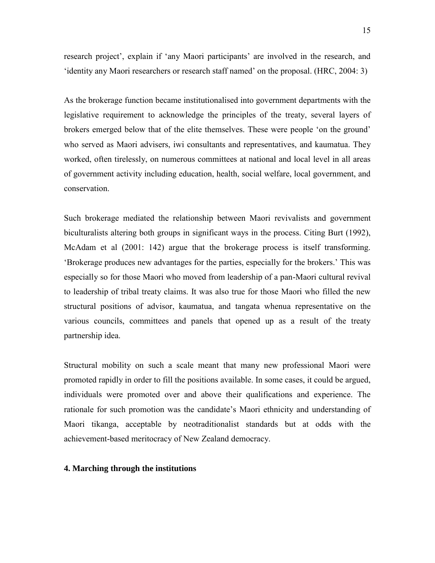research project', explain if 'any Maori participants' are involved in the research, and 'identity any Maori researchers or research staff named' on the proposal. (HRC, 2004: 3)

As the brokerage function became institutionalised into government departments with the legislative requirement to acknowledge the principles of the treaty, several layers of brokers emerged below that of the elite themselves. These were people 'on the ground' who served as Maori advisers, iwi consultants and representatives, and kaumatua. They worked, often tirelessly, on numerous committees at national and local level in all areas of government activity including education, health, social welfare, local government, and conservation.

Such brokerage mediated the relationship between Maori revivalists and government biculturalists altering both groups in significant ways in the process. Citing Burt (1992), McAdam et al (2001: 142) argue that the brokerage process is itself transforming. 'Brokerage produces new advantages for the parties, especially for the brokers.' This was especially so for those Maori who moved from leadership of a pan-Maori cultural revival to leadership of tribal treaty claims. It was also true for those Maori who filled the new structural positions of advisor, kaumatua, and tangata whenua representative on the various councils, committees and panels that opened up as a result of the treaty partnership idea.

Structural mobility on such a scale meant that many new professional Maori were promoted rapidly in order to fill the positions available. In some cases, it could be argued, individuals were promoted over and above their qualifications and experience. The rationale for such promotion was the candidate's Maori ethnicity and understanding of Maori tikanga, acceptable by neotraditionalist standards but at odds with the achievement-based meritocracy of New Zealand democracy.

## **4. Marching through the institutions**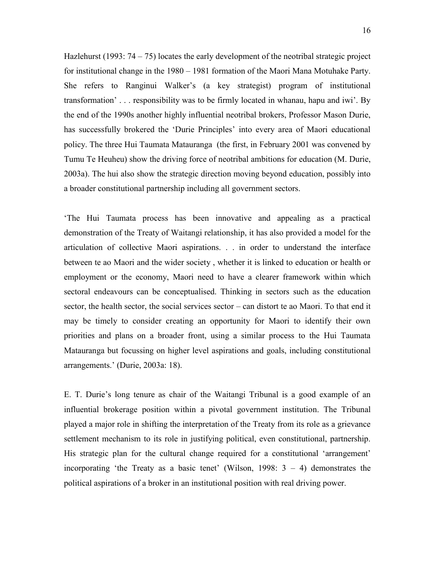Hazlehurst (1993:  $74 - 75$ ) locates the early development of the neotribal strategic project for institutional change in the 1980 – 1981 formation of the Maori Mana Motuhake Party. She refers to Ranginui Walker's (a key strategist) program of institutional transformation' . . . responsibility was to be firmly located in whanau, hapu and iwi'. By the end of the 1990s another highly influential neotribal brokers, Professor Mason Durie, has successfully brokered the 'Durie Principles' into every area of Maori educational policy. The three Hui Taumata Matauranga (the first, in February 2001 was convened by Tumu Te Heuheu) show the driving force of neotribal ambitions for education (M. Durie, 2003a). The hui also show the strategic direction moving beyond education, possibly into a broader constitutional partnership including all government sectors.

'The Hui Taumata process has been innovative and appealing as a practical demonstration of the Treaty of Waitangi relationship, it has also provided a model for the articulation of collective Maori aspirations. . . in order to understand the interface between te ao Maori and the wider society , whether it is linked to education or health or employment or the economy, Maori need to have a clearer framework within which sectoral endeavours can be conceptualised. Thinking in sectors such as the education sector, the health sector, the social services sector – can distort te ao Maori. To that end it may be timely to consider creating an opportunity for Maori to identify their own priorities and plans on a broader front, using a similar process to the Hui Taumata Matauranga but focussing on higher level aspirations and goals, including constitutional arrangements.' (Durie, 2003a: 18).

E. T. Durie's long tenure as chair of the Waitangi Tribunal is a good example of an influential brokerage position within a pivotal government institution. The Tribunal played a major role in shifting the interpretation of the Treaty from its role as a grievance settlement mechanism to its role in justifying political, even constitutional, partnership. His strategic plan for the cultural change required for a constitutional 'arrangement' incorporating 'the Treaty as a basic tenet' (Wilson, 1998:  $3 - 4$ ) demonstrates the political aspirations of a broker in an institutional position with real driving power.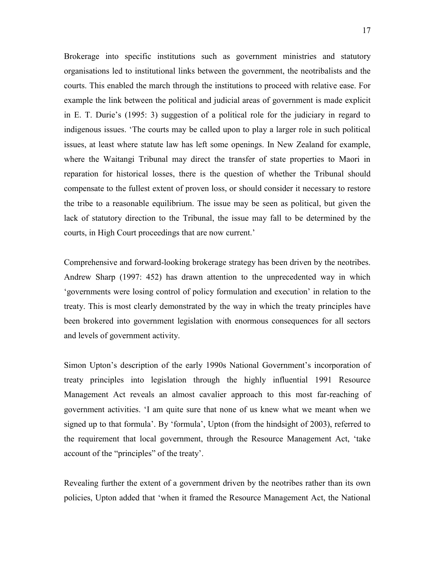Brokerage into specific institutions such as government ministries and statutory organisations led to institutional links between the government, the neotribalists and the courts. This enabled the march through the institutions to proceed with relative ease. For example the link between the political and judicial areas of government is made explicit in E. T. Durie's (1995: 3) suggestion of a political role for the judiciary in regard to indigenous issues. 'The courts may be called upon to play a larger role in such political issues, at least where statute law has left some openings. In New Zealand for example, where the Waitangi Tribunal may direct the transfer of state properties to Maori in reparation for historical losses, there is the question of whether the Tribunal should compensate to the fullest extent of proven loss, or should consider it necessary to restore the tribe to a reasonable equilibrium. The issue may be seen as political, but given the lack of statutory direction to the Tribunal, the issue may fall to be determined by the courts, in High Court proceedings that are now current.'

Comprehensive and forward-looking brokerage strategy has been driven by the neotribes. Andrew Sharp (1997: 452) has drawn attention to the unprecedented way in which 'governments were losing control of policy formulation and execution' in relation to the treaty. This is most clearly demonstrated by the way in which the treaty principles have been brokered into government legislation with enormous consequences for all sectors and levels of government activity.

Simon Upton's description of the early 1990s National Government's incorporation of treaty principles into legislation through the highly influential 1991 Resource Management Act reveals an almost cavalier approach to this most far-reaching of government activities. 'I am quite sure that none of us knew what we meant when we signed up to that formula'. By 'formula', Upton (from the hindsight of 2003), referred to the requirement that local government, through the Resource Management Act, 'take account of the "principles" of the treaty'.

Revealing further the extent of a government driven by the neotribes rather than its own policies, Upton added that 'when it framed the Resource Management Act, the National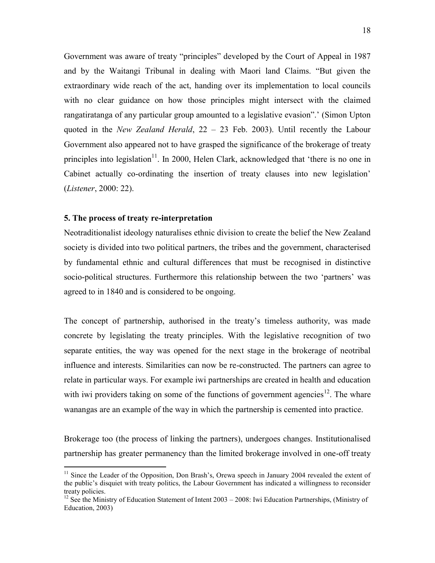Government was aware of treaty "principles" developed by the Court of Appeal in 1987 and by the Waitangi Tribunal in dealing with Maori land Claims. "But given the extraordinary wide reach of the act, handing over its implementation to local councils with no clear guidance on how those principles might intersect with the claimed rangatiratanga of any particular group amounted to a legislative evasion".' (Simon Upton quoted in the *New Zealand Herald*, 22 – 23 Feb. 2003). Until recently the Labour Government also appeared not to have grasped the significance of the brokerage of treaty principles into legislation<sup>11</sup>. In 2000, Helen Clark, acknowledged that 'there is no one in Cabinet actually co-ordinating the insertion of treaty clauses into new legislation' (*Listener*, 2000: 22).

#### **5. The process of treaty re-interpretation**

 $\overline{a}$ 

Neotraditionalist ideology naturalises ethnic division to create the belief the New Zealand society is divided into two political partners, the tribes and the government, characterised by fundamental ethnic and cultural differences that must be recognised in distinctive socio-political structures. Furthermore this relationship between the two 'partners' was agreed to in 1840 and is considered to be ongoing.

The concept of partnership, authorised in the treaty's timeless authority, was made concrete by legislating the treaty principles. With the legislative recognition of two separate entities, the way was opened for the next stage in the brokerage of neotribal influence and interests. Similarities can now be re-constructed. The partners can agree to relate in particular ways. For example iwi partnerships are created in health and education with iwi providers taking on some of the functions of government agencies<sup>12</sup>. The whare wanangas are an example of the way in which the partnership is cemented into practice.

Brokerage too (the process of linking the partners), undergoes changes. Institutionalised partnership has greater permanency than the limited brokerage involved in one-off treaty

<sup>&</sup>lt;sup>11</sup> Since the Leader of the Opposition, Don Brash's, Orewa speech in January 2004 revealed the extent of the public's disquiet with treaty politics, the Labour Government has indicated a willingness to reconsider treaty policies.

<sup>&</sup>lt;sup>12</sup> See the Ministry of Education Statement of Intent 2003 – 2008: Iwi Education Partnerships, (Ministry of Education, 2003)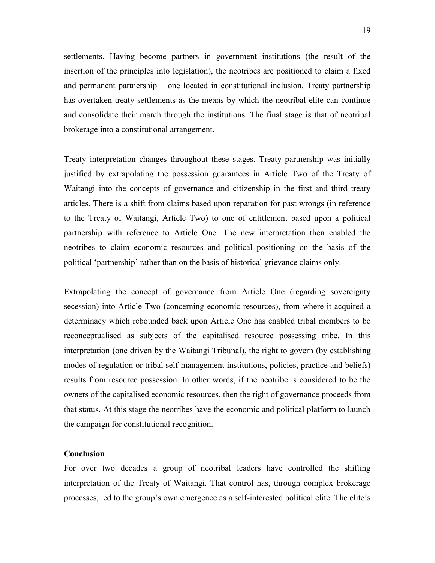settlements. Having become partners in government institutions (the result of the insertion of the principles into legislation), the neotribes are positioned to claim a fixed and permanent partnership – one located in constitutional inclusion. Treaty partnership has overtaken treaty settlements as the means by which the neotribal elite can continue and consolidate their march through the institutions. The final stage is that of neotribal brokerage into a constitutional arrangement.

Treaty interpretation changes throughout these stages. Treaty partnership was initially justified by extrapolating the possession guarantees in Article Two of the Treaty of Waitangi into the concepts of governance and citizenship in the first and third treaty articles. There is a shift from claims based upon reparation for past wrongs (in reference to the Treaty of Waitangi, Article Two) to one of entitlement based upon a political partnership with reference to Article One. The new interpretation then enabled the neotribes to claim economic resources and political positioning on the basis of the political 'partnership' rather than on the basis of historical grievance claims only.

Extrapolating the concept of governance from Article One (regarding sovereignty secession) into Article Two (concerning economic resources), from where it acquired a determinacy which rebounded back upon Article One has enabled tribal members to be reconceptualised as subjects of the capitalised resource possessing tribe. In this interpretation (one driven by the Waitangi Tribunal), the right to govern (by establishing modes of regulation or tribal self-management institutions, policies, practice and beliefs) results from resource possession. In other words, if the neotribe is considered to be the owners of the capitalised economic resources, then the right of governance proceeds from that status. At this stage the neotribes have the economic and political platform to launch the campaign for constitutional recognition.

# **Conclusion**

For over two decades a group of neotribal leaders have controlled the shifting interpretation of the Treaty of Waitangi. That control has, through complex brokerage processes, led to the group's own emergence as a self-interested political elite. The elite's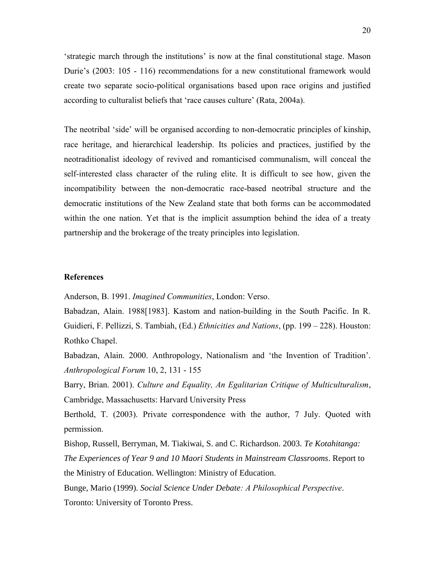'strategic march through the institutions' is now at the final constitutional stage. Mason Durie's (2003: 105 - 116) recommendations for a new constitutional framework would create two separate socio-political organisations based upon race origins and justified according to culturalist beliefs that 'race causes culture' (Rata, 2004a).

The neotribal 'side' will be organised according to non-democratic principles of kinship, race heritage, and hierarchical leadership. Its policies and practices, justified by the neotraditionalist ideology of revived and romanticised communalism, will conceal the self-interested class character of the ruling elite. It is difficult to see how, given the incompatibility between the non-democratic race-based neotribal structure and the democratic institutions of the New Zealand state that both forms can be accommodated within the one nation. Yet that is the implicit assumption behind the idea of a treaty partnership and the brokerage of the treaty principles into legislation.

#### **References**

Anderson, B. 1991. *Imagined Communities*, London: Verso.

Babadzan, Alain. 1988[1983]. Kastom and nation-building in the South Pacific. In R. Guidieri, F. Pellizzi, S. Tambiah, (Ed.) *Ethnicities and Nations*, (pp. 199 – 228). Houston: Rothko Chapel.

Babadzan, Alain. 2000. Anthropology, Nationalism and 'the Invention of Tradition'. *Anthropological Forum* 10, 2, 131 - 155

Barry, Brian. 2001). *Culture and Equality, An Egalitarian Critique of Multiculturalism*, Cambridge, Massachusetts: Harvard University Press

Berthold, T. (2003). Private correspondence with the author, 7 July. Quoted with permission.

Bishop, Russell, Berryman, M. Tiakiwai, S. and C. Richardson. 2003. *Te Kotahitanga: The Experiences of Year 9 and 10 Maori Students in Mainstream Classrooms*. Report to the Ministry of Education. Wellington: Ministry of Education.

Bunge, Mario (1999). *Social Science Under Debate: A Philosophical Perspective*. Toronto: University of Toronto Press.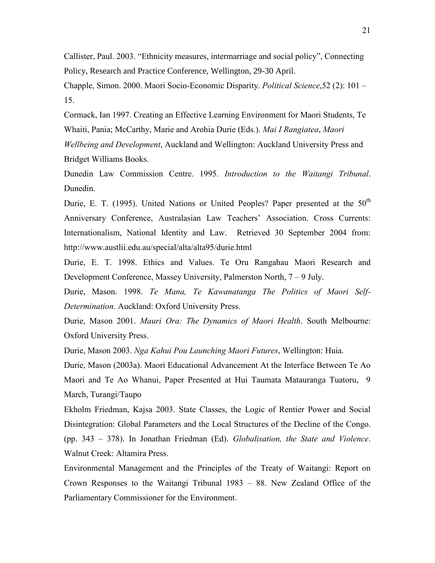Callister, Paul. 2003. "Ethnicity measures, intermarriage and social policy", Connecting Policy, Research and Practice Conference, Wellington, 29-30 April.

Chapple, Simon. 2000. Maori Socio-Economic Disparity. *Political Science*,52 (2): 101 – 15.

Cormack, Ian 1997. Creating an Effective Learning Environment for Maori Students, Te Whaiti, Pania; McCarthy, Marie and Arohia Durie (Eds.). *Mai I Rangiatea*, *Maori Wellbeing and Development*, Auckland and Wellington: Auckland University Press and Bridget Williams Books.

Dunedin Law Commission Centre. 1995. *Introduction to the Waitangi Tribunal*. Dunedin.

Durie, E. T. (1995). United Nations or United Peoples? Paper presented at the 50<sup>th</sup> Anniversary Conference, Australasian Law Teachers' Association. Cross Currents: Internationalism, National Identity and Law. Retrieved 30 September 2004 from: http://www.austlii.edu.au/special/alta/alta95/durie.html

Durie, E. T. 1998. Ethics and Values. Te Oru Rangahau Maori Research and Development Conference, Massey University, Palmerston North, 7 – 9 July.

Durie, Mason. 1998. *Te Mana, Te Kawanatanga The Politics of Maori Self-Determination*. Auckland: Oxford University Press.

Durie, Mason 2001. *Mauri Ora: The Dynamics of Maori Health*. South Melbourne: Oxford University Press.

Durie, Mason 2003. *Nga Kahui Pou Launching Maori Futures*, Wellington: Huia.

Durie, Mason (2003a). Maori Educational Advancement At the Interface Between Te Ao Maori and Te Ao Whanui, Paper Presented at Hui Taumata Matauranga Tuatoru, 9 March, Turangi/Taupo

Ekholm Friedman, Kajsa 2003. State Classes, the Logic of Rentier Power and Social Disintegration: Global Parameters and the Local Structures of the Decline of the Congo. (pp. 343 – 378). In Jonathan Friedman (Ed). *Globalisation, the State and Violence*. Walnut Creek: Altamira Press.

Environmental Management and the Principles of the Treaty of Waitangi: Report on Crown Responses to the Waitangi Tribunal 1983 – 88. New Zealand Office of the Parliamentary Commissioner for the Environment.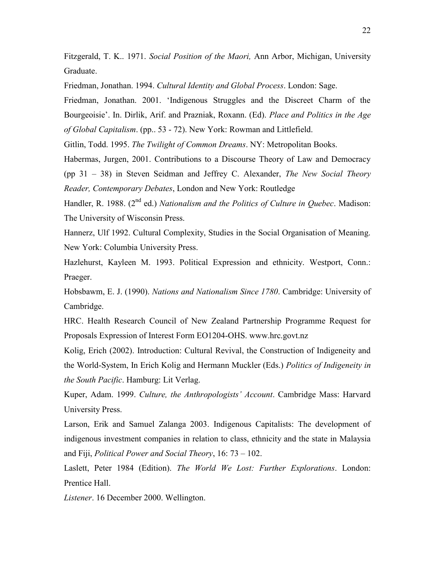Fitzgerald, T. K.. 1971. *Social Position of the Maori,* Ann Arbor, Michigan, University Graduate.

Friedman, Jonathan. 1994. *Cultural Identity and Global Process*. London: Sage.

Friedman, Jonathan. 2001. 'Indigenous Struggles and the Discreet Charm of the Bourgeoisie'. In. Dirlik, Arif. and Prazniak, Roxann. (Ed). *Place and Politics in the Age of Global Capitalism*. (pp.. 53 - 72). New York: Rowman and Littlefield.

Gitlin, Todd. 1995. *The Twilight of Common Dreams*. NY: Metropolitan Books.

Habermas, Jurgen, 2001. Contributions to a Discourse Theory of Law and Democracy (pp 31 – 38) in Steven Seidman and Jeffrey C. Alexander, *The New Social Theory Reader, Contemporary Debates*, London and New York: Routledge

Handler, R. 1988. (2<sup>nd</sup> ed.) *Nationalism and the Politics of Culture in Quebec*. Madison: The University of Wisconsin Press.

Hannerz, Ulf 1992. Cultural Complexity, Studies in the Social Organisation of Meaning. New York: Columbia University Press.

Hazlehurst, Kayleen M. 1993. Political Expression and ethnicity. Westport, Conn.: Praeger.

Hobsbawm, E. J. (1990). *Nations and Nationalism Since 1780*. Cambridge: University of Cambridge.

HRC. Health Research Council of New Zealand Partnership Programme Request for Proposals Expression of Interest Form EO1204-OHS. www.hrc.govt.nz

Kolig, Erich (2002). Introduction: Cultural Revival, the Construction of Indigeneity and the World-System, In Erich Kolig and Hermann Muckler (Eds.) *Politics of Indigeneity in the South Pacific*. Hamburg: Lit Verlag.

Kuper, Adam. 1999. *Culture, the Anthropologists' Account*. Cambridge Mass: Harvard University Press.

Larson, Erik and Samuel Zalanga 2003. Indigenous Capitalists: The development of indigenous investment companies in relation to class, ethnicity and the state in Malaysia and Fiji, *Political Power and Social Theory*, 16: 73 – 102.

Laslett, Peter 1984 (Edition). *The World We Lost: Further Explorations*. London: Prentice Hall.

*Listener*. 16 December 2000. Wellington.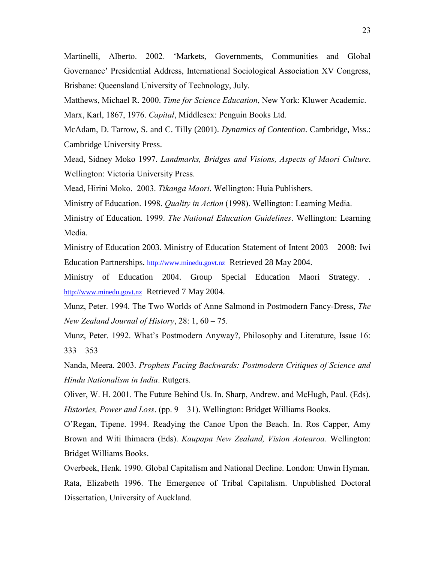Martinelli, Alberto. 2002. 'Markets, Governments, Communities and Global Governance' Presidential Address, International Sociological Association XV Congress, Brisbane: Queensland University of Technology, July.

Matthews, Michael R. 2000. *Time for Science Education*, New York: Kluwer Academic.

Marx, Karl, 1867, 1976. *Capital*, Middlesex: Penguin Books Ltd.

McAdam, D. Tarrow, S. and C. Tilly (2001). *Dynamics of Contention*. Cambridge, Mss.: Cambridge University Press.

Mead, Sidney Moko 1997. *Landmarks, Bridges and Visions, Aspects of Maori Culture*. Wellington: Victoria University Press.

Mead, Hirini Moko. 2003. *Tikanga Maori*. Wellington: Huia Publishers.

Ministry of Education. 1998. *Quality in Action* (1998). Wellington: Learning Media.

Ministry of Education. 1999. *The National Education Guidelines*. Wellington: Learning Media.

Ministry of Education 2003. Ministry of Education Statement of Intent 2003 – 2008: Iwi Education Partnerships. [http://www.minedu.govt.nz](http://www.minedu.govt.nz/) Retrieved 28 May 2004.

Ministry of Education 2004. Group Special Education Maori Strategy. . [http://www.minedu.govt.nz](http://www.minedu.govt.nz/) Retrieved 7 May 2004.

Munz, Peter. 1994. The Two Worlds of Anne Salmond in Postmodern Fancy-Dress, *The New Zealand Journal of History*, 28: 1, 60 – 75.

Munz, Peter. 1992. What's Postmodern Anyway?, Philosophy and Literature, Issue 16:  $333 - 353$ 

Nanda, Meera. 2003. *Prophets Facing Backwards: Postmodern Critiques of Science and Hindu Nationalism in India*. Rutgers.

Oliver, W. H. 2001. The Future Behind Us. In. Sharp, Andrew. and McHugh, Paul. (Eds). *Histories, Power and Loss*. (pp. 9 – 31). Wellington: Bridget Williams Books.

O'Regan, Tipene. 1994. Readying the Canoe Upon the Beach. In. Ros Capper, Amy Brown and Witi Ihimaera (Eds). *Kaupapa New Zealand, Vision Aotearoa*. Wellington: Bridget Williams Books.

Overbeek, Henk. 1990. Global Capitalism and National Decline. London: Unwin Hyman. Rata, Elizabeth 1996. The Emergence of Tribal Capitalism. Unpublished Doctoral Dissertation, University of Auckland.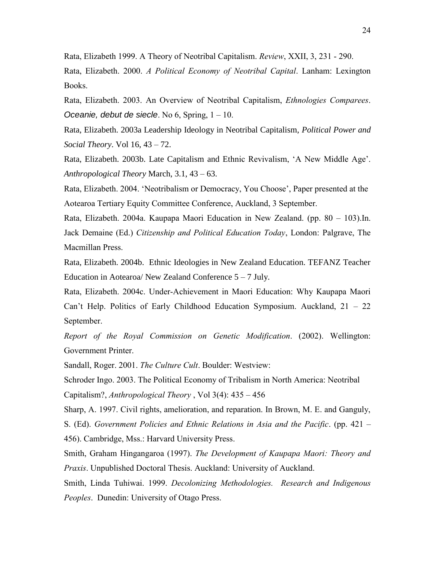Rata, Elizabeth 1999. A Theory of Neotribal Capitalism. *Review*, XXII, 3, 231 - 290.

Rata, Elizabeth. 2000. *A Political Economy of Neotribal Capital*. Lanham: Lexington Books.

Rata, Elizabeth. 2003. An Overview of Neotribal Capitalism, *Ethnologies Comparees*. *Oceanie, debut de siecle*. No 6, Spring, 1 – 10.

Rata, Elizabeth. 2003a Leadership Ideology in Neotribal Capitalism, *Political Power and Social Theory*. Vol 16, 43 – 72.

Rata, Elizabeth. 2003b. Late Capitalism and Ethnic Revivalism, 'A New Middle Age'. *Anthropological Theory* March, 3.1, 43 – 63.

Rata, Elizabeth. 2004. 'Neotribalism or Democracy, You Choose', Paper presented at the Aotearoa Tertiary Equity Committee Conference, Auckland, 3 September.

Rata, Elizabeth. 2004a. Kaupapa Maori Education in New Zealand. (pp. 80 – 103).In. Jack Demaine (Ed.) *Citizenship and Political Education Today*, London: Palgrave, The Macmillan Press.

Rata, Elizabeth. 2004b. Ethnic Ideologies in New Zealand Education. TEFANZ Teacher Education in Aotearoa/ New Zealand Conference  $5 - 7$  July.

Rata, Elizabeth. 2004c. Under-Achievement in Maori Education: Why Kaupapa Maori Can't Help. Politics of Early Childhood Education Symposium. Auckland, 21 – 22 September.

*Report of the Royal Commission on Genetic Modification*. (2002). Wellington: Government Printer.

Sandall, Roger. 2001. *The Culture Cult*. Boulder: Westview:

Schroder Ingo. 2003. The Political Economy of Tribalism in North America: Neotribal Capitalism?, *Anthropological Theory* , Vol 3(4): 435 – 456

Sharp, A. 1997. Civil rights, amelioration, and reparation. In Brown, M. E. and Ganguly,

S. (Ed). *Government Policies and Ethnic Relations in Asia and the Pacific*. (pp. 421 – 456). Cambridge, Mss.: Harvard University Press.

Smith, Graham Hingangaroa (1997). *The Development of Kaupapa Maori: Theory and Praxis*. Unpublished Doctoral Thesis. Auckland: University of Auckland.

Smith, Linda Tuhiwai. 1999. *Decolonizing Methodologies. Research and Indigenous Peoples*. Dunedin: University of Otago Press.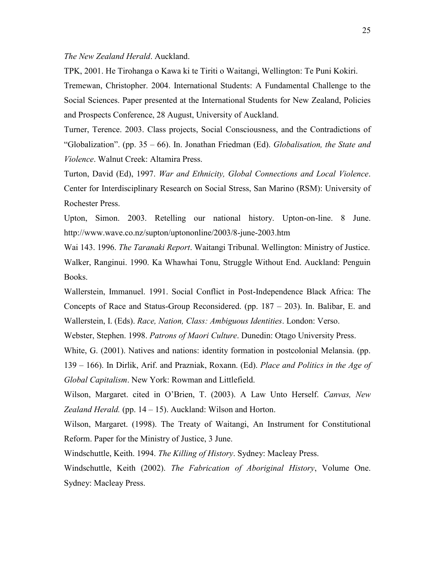#### *The New Zealand Herald*. Auckland.

TPK, 2001. He Tirohanga o Kawa ki te Tiriti o Waitangi, Wellington: Te Puni Kokiri.

Tremewan, Christopher. 2004. International Students: A Fundamental Challenge to the Social Sciences. Paper presented at the International Students for New Zealand, Policies and Prospects Conference, 28 August, University of Auckland.

Turner, Terence. 2003. Class projects, Social Consciousness, and the Contradictions of "Globalization". (pp. 35 – 66). In. Jonathan Friedman (Ed). *Globalisation, the State and Violence*. Walnut Creek: Altamira Press.

Turton, David (Ed), 1997. *War and Ethnicity, Global Connections and Local Violence*. Center for Interdisciplinary Research on Social Stress, San Marino (RSM): University of Rochester Press.

Upton, Simon. 2003. Retelling our national history. Upton-on-line. 8 June. http://www.wave.co.nz/supton/uptononline/2003/8-june-2003.htm

Wai 143. 1996. *The Taranaki Report*. Waitangi Tribunal. Wellington: Ministry of Justice. Walker, Ranginui. 1990. Ka Whawhai Tonu, Struggle Without End. Auckland: Penguin Books.

Wallerstein, Immanuel. 1991. Social Conflict in Post-Independence Black Africa: The Concepts of Race and Status-Group Reconsidered. (pp. 187 – 203). In. Balibar, E. and Wallerstein, I. (Eds). *Race, Nation, Class: Ambiguous Identities*. London: Verso.

Webster, Stephen. 1998. *Patrons of Maori Culture*. Dunedin: Otago University Press.

White, G. (2001). Natives and nations: identity formation in postcolonial Melansia. (pp.

139 – 166). In Dirlik, Arif. and Prazniak, Roxann. (Ed). *Place and Politics in the Age of Global Capitalism*. New York: Rowman and Littlefield.

Wilson, Margaret. cited in O'Brien, T. (2003). A Law Unto Herself. *Canvas, New Zealand Herald.* (pp. 14 – 15). Auckland: Wilson and Horton.

Wilson, Margaret. (1998). The Treaty of Waitangi, An Instrument for Constitutional Reform. Paper for the Ministry of Justice, 3 June.

Windschuttle, Keith. 1994. *The Killing of History*. Sydney: Macleay Press.

Windschuttle, Keith (2002). *The Fabrication of Aboriginal History*, Volume One. Sydney: Macleay Press.